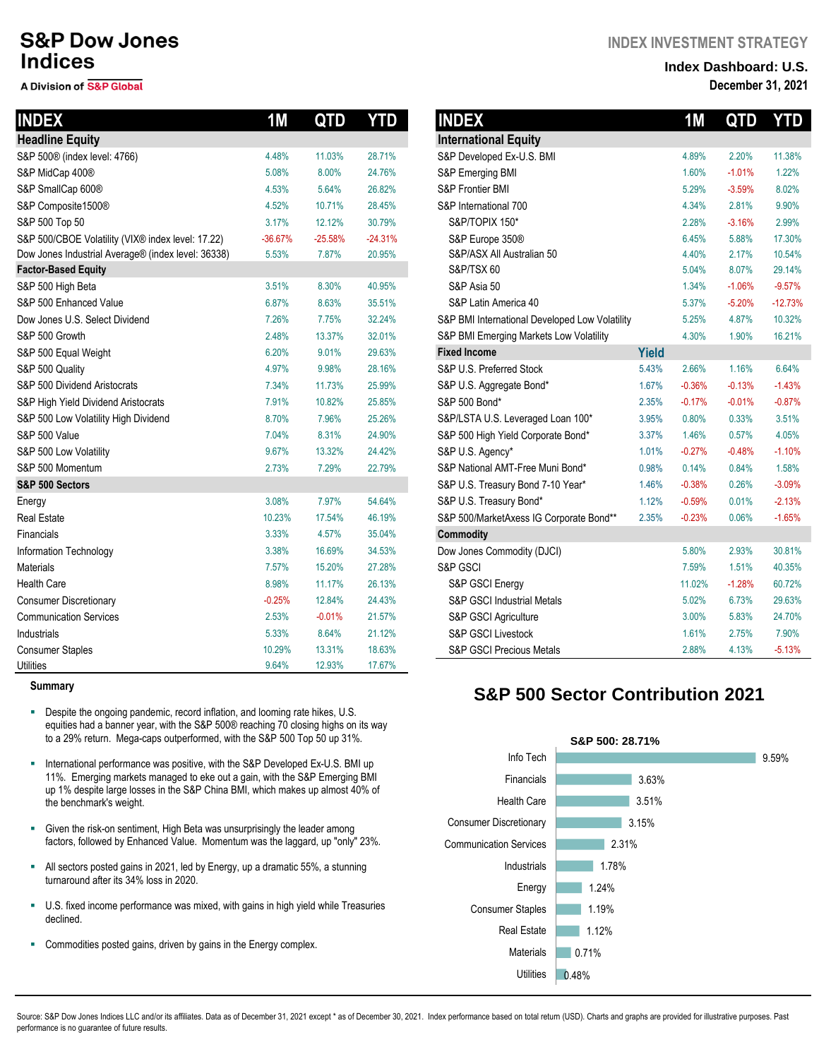# **S&P Dow Jones Indices**

#### A Division of S&P Global

| <b>INDEX</b>                                       | 1M        | QTD       | <b>YTD</b> | <b>INDEX</b>                                   |              | <b>1M</b> | QTD      | <b>YTD</b> |
|----------------------------------------------------|-----------|-----------|------------|------------------------------------------------|--------------|-----------|----------|------------|
| <b>Headline Equity</b>                             |           |           |            | <b>International Equity</b>                    |              |           |          |            |
| S&P 500® (index level: 4766)                       | 4.48%     | 11.03%    | 28.71%     | S&P Developed Ex-U.S. BMI                      |              | 4.89%     | 2.20%    | 11.38%     |
| S&P MidCap 400®                                    | 5.08%     | 8.00%     | 24.76%     | S&P Emerging BMI                               |              | 1.60%     | $-1.01%$ | 1.22%      |
| S&P SmallCap 600®                                  | 4.53%     | 5.64%     | 26.82%     | S&P Frontier BMI                               |              | 5.29%     | $-3.59%$ | 8.02%      |
| S&P Composite1500®                                 | 4.52%     | 10.71%    | 28.45%     | S&P International 700                          |              | 4.34%     | 2.81%    | 9.90%      |
| S&P 500 Top 50                                     | 3.17%     | 12.12%    | 30.79%     | S&P/TOPIX 150*                                 |              | 2.28%     | $-3.16%$ | 2.99%      |
| S&P 500/CBOE Volatility (VIX® index level: 17.22)  | $-36.67%$ | $-25.58%$ | $-24.31%$  | S&P Europe 350®                                |              | 6.45%     | 5.88%    | 17.30%     |
| Dow Jones Industrial Average® (index level: 36338) | 5.53%     | 7.87%     | 20.95%     | S&P/ASX All Australian 50                      |              | 4.40%     | 2.17%    | 10.54%     |
| <b>Factor-Based Equity</b>                         |           |           |            | S&P/TSX 60                                     |              | 5.04%     | 8.07%    | 29.14%     |
| S&P 500 High Beta                                  | 3.51%     | 8.30%     | 40.95%     | S&P Asia 50                                    |              | 1.34%     | $-1.06%$ | $-9.57%$   |
| S&P 500 Enhanced Value                             | 6.87%     | 8.63%     | 35.51%     | S&P Latin America 40                           |              | 5.37%     | $-5.20%$ | $-12.73%$  |
| Dow Jones U.S. Select Dividend                     | 7.26%     | 7.75%     | 32.24%     | S&P BMI International Developed Low Volatility |              | 5.25%     | 4.87%    | 10.32%     |
| S&P 500 Growth                                     | 2.48%     | 13.37%    | 32.01%     | S&P BMI Emerging Markets Low Volatility        |              | 4.30%     | 1.90%    | 16.21%     |
| S&P 500 Equal Weight                               | 6.20%     | 9.01%     | 29.63%     | <b>Fixed Income</b>                            | <b>Yield</b> |           |          |            |
| S&P 500 Quality                                    | 4.97%     | 9.98%     | 28.16%     | S&P U.S. Preferred Stock                       | 5.43%        | 2.66%     | 1.16%    | 6.64%      |
| S&P 500 Dividend Aristocrats                       | 7.34%     | 11.73%    | 25.99%     | S&P U.S. Aggregate Bond*                       | 1.67%        | $-0.36%$  | $-0.13%$ | $-1.43%$   |
| S&P High Yield Dividend Aristocrats                | 7.91%     | 10.82%    | 25.85%     | S&P 500 Bond*                                  | 2.35%        | $-0.17%$  | $-0.01%$ | $-0.87%$   |
| S&P 500 Low Volatility High Dividend               | 8.70%     | 7.96%     | 25.26%     | S&P/LSTA U.S. Leveraged Loan 100*              | 3.95%        | 0.80%     | 0.33%    | 3.51%      |
| <b>S&amp;P 500 Value</b>                           | 7.04%     | 8.31%     | 24.90%     | S&P 500 High Yield Corporate Bond*             | 3.37%        | 1.46%     | 0.57%    | 4.05%      |
| S&P 500 Low Volatility                             | 9.67%     | 13.32%    | 24.42%     | S&P U.S. Agency*                               | 1.01%        | $-0.27%$  | $-0.48%$ | $-1.10%$   |
| S&P 500 Momentum                                   | 2.73%     | 7.29%     | 22.79%     | S&P National AMT-Free Muni Bond*               | 0.98%        | 0.14%     | 0.84%    | 1.58%      |
| S&P 500 Sectors                                    |           |           |            | S&P U.S. Treasury Bond 7-10 Year*              | 1.46%        | $-0.38%$  | 0.26%    | $-3.09%$   |
| Energy                                             | 3.08%     | 7.97%     | 54.64%     | S&P U.S. Treasury Bond*                        | 1.12%        | $-0.59%$  | 0.01%    | $-2.13%$   |
| <b>Real Estate</b>                                 | 10.23%    | 17.54%    | 46.19%     | S&P 500/MarketAxess IG Corporate Bond**        | 2.35%        | $-0.23%$  | 0.06%    | $-1.65%$   |
| Financials                                         | 3.33%     | 4.57%     | 35.04%     | <b>Commodity</b>                               |              |           |          |            |
| Information Technology                             | 3.38%     | 16.69%    | 34.53%     | Dow Jones Commodity (DJCI)                     |              | 5.80%     | 2.93%    | 30.81%     |
| <b>Materials</b>                                   | 7.57%     | 15.20%    | 27.28%     | S&P GSCI                                       |              | 7.59%     | 1.51%    | 40.35%     |
| <b>Health Care</b>                                 | 8.98%     | 11.17%    | 26.13%     | S&P GSCI Energy                                |              | 11.02%    | $-1.28%$ | 60.72%     |
| <b>Consumer Discretionary</b>                      | $-0.25%$  | 12.84%    | 24.43%     | S&P GSCI Industrial Metals                     |              | 5.02%     | 6.73%    | 29.63%     |
| <b>Communication Services</b>                      | 2.53%     | $-0.01%$  | 21.57%     | S&P GSCI Agriculture                           |              | 3.00%     | 5.83%    | 24.70%     |
| Industrials                                        | 5.33%     | 8.64%     | 21.12%     | S&P GSCI Livestock                             |              | 1.61%     | 2.75%    | 7.90%      |
| <b>Consumer Staples</b>                            | 10.29%    | 13.31%    | 18.63%     | S&P GSCI Precious Metals                       |              | 2.88%     | 4.13%    | $-5.13%$   |
| <b>Utilities</b>                                   | 9.64%     | 12.93%    | 17.67%     |                                                |              |           |          |            |

#### **Summary**

- **•** Despite the ongoing pandemic, record inflation, and looming rate hikes, U.S. equities had a banner year, with the S&P 500® reaching 70 closing highs on its way to a 29% return. Mega-caps outperformed, with the S&P 500 Top 50 up 31%.
- **·** International performance was positive, with the S&P Developed Ex-U.S. BMI up 11%. Emerging markets managed to eke out a gain, with the S&P Emerging BMI up 1% despite large losses in the S&P China BMI, which makes up almost 40% of the benchmark's weight.
- **EXEDENT CIVEN THE FIGHT OF SHIFT CIVEN THE READER IS CONTENT** Given the leader among factors, followed by Enhanced Value. Momentum was the laggard, up "only" 23%.
- All sectors posted gains in 2021, led by Energy, up a dramatic 55%, a stunning turnaround after its 34% loss in 2020.
- U.S. fixed income performance was mixed, with gains in high yield while Treasuries declined.
- **EXEDENT Commodities posted gains, driven by gains in the Energy complex.**

### **INDEX INVESTMENT STRATEGY**

### **Index Dashboard: U.S. December 31, 2021**

|              | <b>1M</b> | QTD YTD  |           |
|--------------|-----------|----------|-----------|
|              |           |          |           |
|              | 4.89%     | 2.20%    | 11.38%    |
|              | 1.60%     | $-1.01%$ | 1.22%     |
|              | 5.29%     | $-3.59%$ | 8.02%     |
|              | 4.34%     | 2.81%    | 9.90%     |
|              | 2.28%     | $-3.16%$ | 2.99%     |
|              | 6.45%     | 5.88%    | 17.30%    |
|              | 4.40%     | 2.17%    | 10.54%    |
|              | 5.04%     | 8.07%    | 29.14%    |
|              | 1.34%     | $-1.06%$ | $-9.57%$  |
|              | 5.37%     | $-5.20%$ | $-12.73%$ |
|              | 5.25%     | 4.87%    | 10.32%    |
|              | 4.30%     | 1.90%    | 16.21%    |
| <b>Yield</b> |           |          |           |
| 5.43%        | 2.66%     | 1.16%    | 6.64%     |
| 1.67%        | $-0.36%$  | $-0.13%$ | $-1.43%$  |
| 2.35%        | $-0.17%$  | $-0.01%$ | $-0.87%$  |
| 3.95%        | 0.80%     | 0.33%    | 3.51%     |
| 3.37%        | 1.46%     | 0.57%    | 4.05%     |
| 1.01%        | $-0.27%$  | $-0.48%$ | $-1.10%$  |
| 0.98%        | 0.14%     | 0.84%    | 1.58%     |
| 1.46%        | $-0.38%$  | 0.26%    | $-3.09%$  |
| 1.12%        | $-0.59%$  | 0.01%    | $-2.13%$  |
| 2.35%        | $-0.23%$  | 0.06%    | $-1.65%$  |
|              |           |          |           |
|              | 5.80%     | 2.93%    | 30.81%    |
|              | 7.59%     | 1.51%    | 40.35%    |
|              | 11.02%    | $-1.28%$ | 60.72%    |
|              | 5.02%     | 6.73%    | 29.63%    |
|              | 3.00%     | 5.83%    | 24.70%    |
|              | 1.61%     | 2.75%    | 7.90%     |
|              | 2.88%     | 4.13%    | $-5.13%$  |
|              |           |          |           |

## **S&P 500 Sector Contribution 2021**